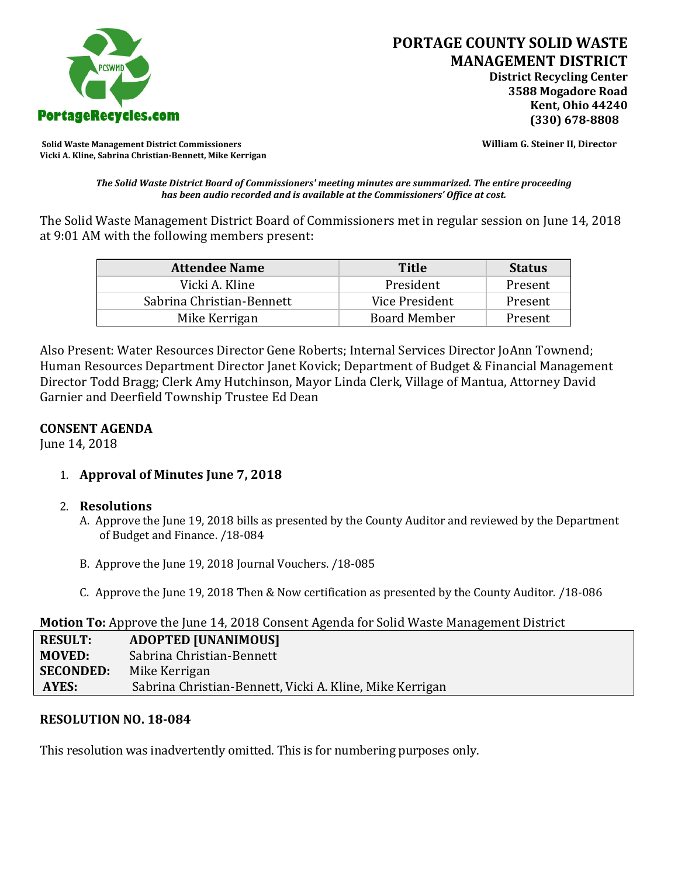

**Solid Waste Management District Commissioners William G. Steiner II, Director Vicki A. Kline, Sabrina Christian-Bennett, Mike Kerrigan** 

*The Solid Waste District Board of Commissioners' meeting minutes are summarized. The entire proceeding has been audio recorded and is available at the Commissioners' Office at cost.*

The Solid Waste Management District Board of Commissioners met in regular session on June 14, 2018 at 9:01 AM with the following members present:

| <b>Attendee Name</b>      | <b>Title</b>        | <b>Status</b> |
|---------------------------|---------------------|---------------|
| Vicki A. Kline            | President           | Present       |
| Sabrina Christian-Bennett | Vice President      | Present       |
| Mike Kerrigan             | <b>Board Member</b> | Present       |

Also Present: Water Resources Director Gene Roberts; Internal Services Director JoAnn Townend; Human Resources Department Director Janet Kovick; Department of Budget & Financial Management Director Todd Bragg; Clerk Amy Hutchinson, Mayor Linda Clerk, Village of Mantua, Attorney David Garnier and Deerfield Township Trustee Ed Dean

## **CONSENT AGENDA**

June 14, 2018

# 1. **Approval of Minutes June 7, 2018**

## 2. **Resolutions**

- A. Approve the June 19, 2018 bills as presented by the County Auditor and reviewed by the Department of Budget and Finance. /18-084
- B. Approve the June 19, 2018 Journal Vouchers. /18-085
- C. Approve the June 19, 2018 Then & Now certification as presented by the County Auditor. /18-086

#### **Motion To:** Approve the June 14, 2018 Consent Agenda for Solid Waste Management District

| <b>RESULT:</b>   | <b>ADOPTED [UNANIMOUS]</b>                               |
|------------------|----------------------------------------------------------|
| <b>MOVED:</b>    | Sabrina Christian-Bennett                                |
| <b>SECONDED:</b> | Mike Kerrigan                                            |
| AYES:            | Sabrina Christian-Bennett, Vicki A. Kline, Mike Kerrigan |

## **RESOLUTION NO. 18-084**

This resolution was inadvertently omitted. This is for numbering purposes only.